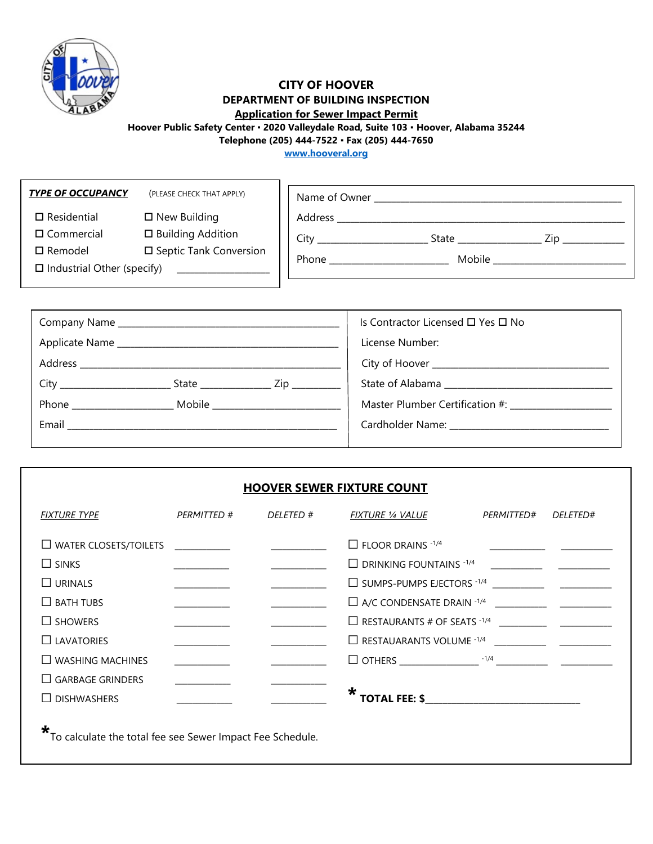

# **CITY OF HOOVER DEPARTMENT OF BUILDING INSPECTION**

# **Application for Sewer Impact Permit**

**Hoover Public Safety Center ▪ 2020 Valleydale Road, Suite 103 ▪ Hoover, Alabama 35244**

**Telephone (205) 444-7522 ▪ Fax (205) 444-7650**

**[www.hooveral.org](http://www.hooveral.org/)**

| <b>TYPE OF OCCUPANCY</b>          | (PLEASE CHECK THAT APPLY) | Name of Owner |        |  |      |  |
|-----------------------------------|---------------------------|---------------|--------|--|------|--|
| $\Box$ Residential                | $\Box$ New Building       | Address       |        |  |      |  |
| $\square$ Commercial              | □ Building Addition       | City          | State  |  | Zin. |  |
| $\square$ Remodel                 | □ Septic Tank Conversion  | Phone         | Mobile |  |      |  |
| $\Box$ Industrial Other (specify) |                           |               |        |  |      |  |
|                                   |                           |               |        |  |      |  |

|                     | Is Contractor Licensed $\Box$ Yes $\Box$ No       |
|---------------------|---------------------------------------------------|
|                     | License Number:                                   |
|                     |                                                   |
|                     |                                                   |
| Phone Mobile Mobile | Master Plumber Certification #: _________________ |
| Email               |                                                   |
|                     |                                                   |

#### **HOOVER SEWER FIXTURE COUNT**

| <b>FIXTURE TYPE</b>          | PERMITTED # | <i>DELETED</i> # | <b>FIXTURE 1/4 VALUE</b>              | <i>PERMITTED#</i> | <i>DELETED#</i> |
|------------------------------|-------------|------------------|---------------------------------------|-------------------|-----------------|
| $\Box$ WATER CLOSETS/TOILETS |             |                  | $\Box$ FLOOR DRAINS $-1/4$            |                   |                 |
| $\Box$ SINKS                 |             |                  | $\Box$ DRINKING FOUNTAINS $1/4$       |                   |                 |
| $\Box$ URINALS               |             |                  | $\Box$ SUMPS-PUMPS EJECTORS $-1/4$    |                   |                 |
| $\Box$ BATH TUBS             |             |                  | $\Box$ A/C CONDENSATE DRAIN $^{-1/4}$ |                   |                 |
| $\Box$ SHOWERS               |             |                  | $\Box$ RESTAURANTS # OF SEATS $-1/4$  |                   |                 |
| $\Box$ LAVATORIES            |             |                  | $\Box$ RESTAUARANTS VOLUME $-1/4$     |                   |                 |
| $\Box$ WASHING MACHINES      |             |                  | $\Box$ OTHERS $-1/4$                  |                   |                 |
| <b>GARBAGE GRINDERS</b>      |             |                  |                                       |                   |                 |
| <b>DISHWASHERS</b>           |             |                  | <b>TOTAL FEE: \$</b>                  |                   |                 |
|                              |             |                  |                                       |                   |                 |

**\***To calculate the total fee see Sewer Impact Fee Schedule.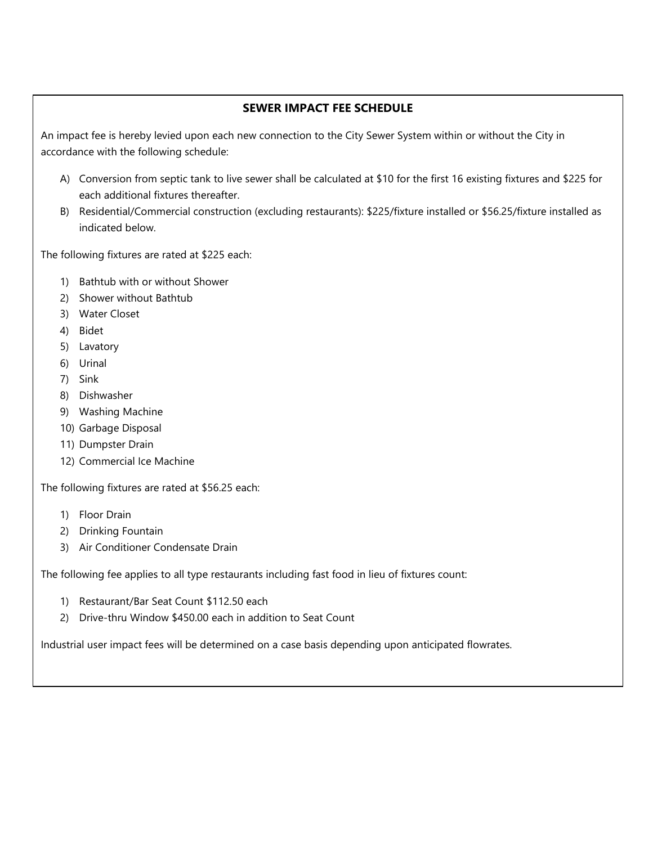## **SEWER IMPACT FEE SCHEDULE**

An impact fee is hereby levied upon each new connection to the City Sewer System within or without the City in accordance with the following schedule:

- A) Conversion from septic tank to live sewer shall be calculated at \$10 for the first 16 existing fixtures and \$225 for each additional fixtures thereafter.
- B) Residential/Commercial construction (excluding restaurants): \$225/fixture installed or \$56.25/fixture installed as indicated below.

The following fixtures are rated at \$225 each:

- 1) Bathtub with or without Shower
- 2) Shower without Bathtub
- 3) Water Closet
- 4) Bidet
- 5) Lavatory
- 6) Urinal
- 7) Sink
- 8) Dishwasher
- 9) Washing Machine
- 10) Garbage Disposal
- 11) Dumpster Drain
- 12) Commercial Ice Machine

The following fixtures are rated at \$56.25 each:

- 1) Floor Drain
- 2) Drinking Fountain
- 3) Air Conditioner Condensate Drain

The following fee applies to all type restaurants including fast food in lieu of fixtures count:

- 1) Restaurant/Bar Seat Count \$112.50 each
- 2) Drive-thru Window \$450.00 each in addition to Seat Count

Industrial user impact fees will be determined on a case basis depending upon anticipated flowrates.